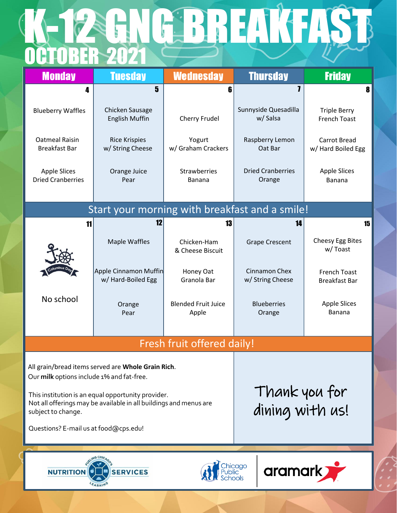## OCTOBER 2021 K-12 GNG BREAKFAST

| <b>Monday</b>                                                                                                                                                                                                                                                                             | <b>Tuesday</b>                              | <b>Wednesday</b>                    | <b>Thursday</b>                    | <b>Friday</b>                               |  |  |
|-------------------------------------------------------------------------------------------------------------------------------------------------------------------------------------------------------------------------------------------------------------------------------------------|---------------------------------------------|-------------------------------------|------------------------------------|---------------------------------------------|--|--|
| 4                                                                                                                                                                                                                                                                                         | 5                                           | 6                                   | 7                                  | 8                                           |  |  |
| <b>Blueberry Waffles</b>                                                                                                                                                                                                                                                                  | Chicken Sausage<br><b>English Muffin</b>    | Cherry Frudel                       | Sunnyside Quesadilla<br>w/Salsa    | <b>Triple Berry</b><br><b>French Toast</b>  |  |  |
| Oatmeal Raisin<br><b>Breakfast Bar</b>                                                                                                                                                                                                                                                    | <b>Rice Krispies</b><br>w/ String Cheese    | Yogurt<br>w/ Graham Crackers        | Raspberry Lemon<br>Oat Bar         | Carrot Bread<br>w/ Hard Boiled Egg          |  |  |
| <b>Apple Slices</b><br><b>Dried Cranberries</b>                                                                                                                                                                                                                                           | Orange Juice<br>Pear                        | <b>Strawberries</b><br>Banana       | <b>Dried Cranberries</b><br>Orange | <b>Apple Slices</b><br>Banana               |  |  |
| Start your morning with breakfast and a smile!                                                                                                                                                                                                                                            |                                             |                                     |                                    |                                             |  |  |
| 11                                                                                                                                                                                                                                                                                        | 12                                          | 13                                  | 14                                 | 15                                          |  |  |
|                                                                                                                                                                                                                                                                                           | <b>Maple Waffles</b>                        | Chicken-Ham<br>& Cheese Biscuit     | <b>Grape Crescent</b>              | Cheesy Egg Bites<br>w/Toast                 |  |  |
|                                                                                                                                                                                                                                                                                           | Apple Cinnamon Muffin<br>w/ Hard-Boiled Egg | Honey Oat<br>Granola Bar            | Cinnamon Chex<br>w/ String Cheese  | <b>French Toast</b><br><b>Breakfast Bar</b> |  |  |
| No school                                                                                                                                                                                                                                                                                 | Orange<br>Pear                              | <b>Blended Fruit Juice</b><br>Apple | <b>Blueberries</b><br>Orange       | <b>Apple Slices</b><br>Banana               |  |  |
| Fresh fruit offered daily!                                                                                                                                                                                                                                                                |                                             |                                     |                                    |                                             |  |  |
| All grain/bread items served are Whole Grain Rich.<br>Our milk options include 1% and fat-free.<br>This institution is an equal opportunity provider.<br>Not all offerings may be available in all buildings and menus are<br>subject to change.<br>Questions? E-mail us at food@cps.edu! |                                             |                                     | Thank you for<br>dining with us!   |                                             |  |  |
| hicago<br>aramark<br><b>SERVICES</b><br><b>NUTRITION</b>                                                                                                                                                                                                                                  |                                             |                                     |                                    |                                             |  |  |